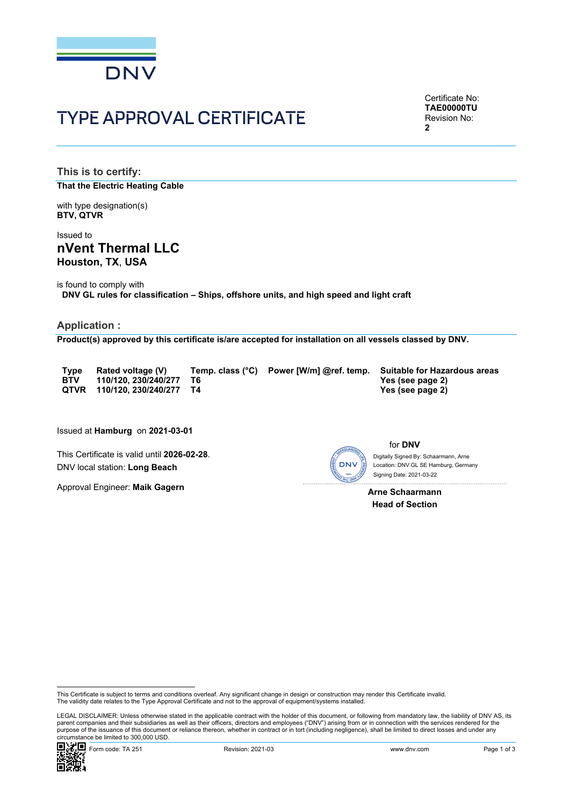

# TYPE APPROVAL CERTIFICATE

Certificate No: **TAE00000TU** Revision No:  $\mathbf{2}$ 

**This is to certify: That the Electric Heating Cable**

with type designation(s) **BTV, QTVR**

Issued to **nVent Thermal LLC Houston, TX**, **USA** 

is found to comply with **DNV GL rules for classification – Ships, offshore units, and high speed and light craft** 

#### **Application :**

**Product(s) approved by this certificate is/are accepted for installation on all vessels classed by DNV.**

**QTVR 110/120, 230/240/277 T4 Yes (see page 2)** 

**BTV 110/120, 230/240/277 T6 Yes (see page 2)** 

**Type Rated voltage (V) Temp. class (°C) Power [W/m] @ref. temp. Suitable for Hazardous areas** 

Issued at **Hamburg** on **2021-03-01**

This Certificate is valid until **2026-02-28**. DNV local station: **Long Beach**

Approval Engineer: **Maik Gagern**



for **DNV** Digitally Signed By: Schaarmann, Arne

 Signing Date: 2021-03-22 Location: DNV GL SE Hamburg, Germany

**Arne Schaarmann Head of Section** 

 LEGAL DISCLAIMER: Unless otherwise stated in the applicable contract with the holder of this document, or following from mandatory law, the liability of DNV AS, its parent companies and their subsidiaries as well as their officers, directors and employees ("DNV") arising from or in connection with the services rendered for the purpose of the issuance of this document or reliance thereon, whether in contract or in tort (including negligence), shall be limited to direct losses and under any circumstance be limited to 300,000 USD.



This Certificate is subject to terms and conditions overleaf. Any significant change in design or construction may render this Certificate invalid.<br>The validity date relates to the Type Approval Certificate and not to the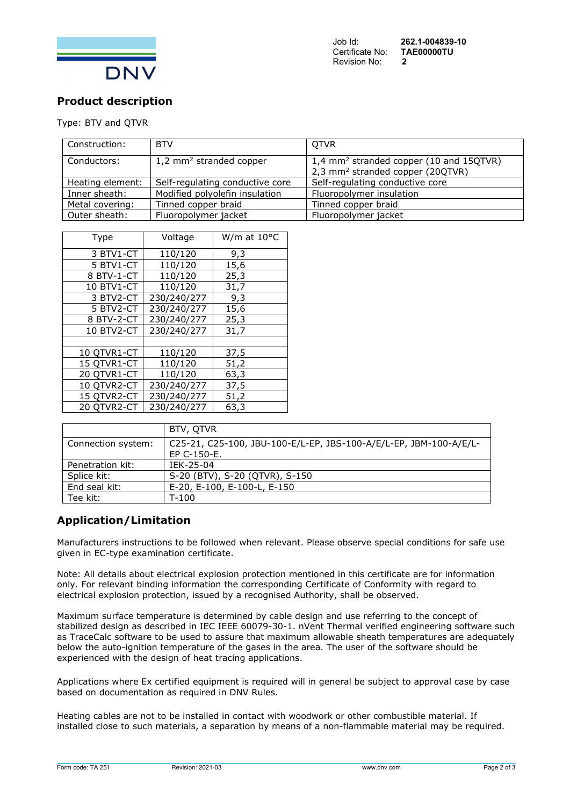

# **Product description**

#### Type: BTV and QTVR

| Construction:    | <b>BTV</b>                          | <b>QTVR</b>                                                                                         |
|------------------|-------------------------------------|-----------------------------------------------------------------------------------------------------|
| Conductors:      | 1,2 mm <sup>2</sup> stranded copper | 1,4 mm <sup>2</sup> stranded copper (10 and 15QTVR)<br>2,3 mm <sup>2</sup> stranded copper (20QTVR) |
| Heating element: | Self-regulating conductive core     | Self-regulating conductive core                                                                     |
| Inner sheath:    | Modified polyolefin insulation      | Fluoropolymer insulation                                                                            |
| Metal covering:  | Tinned copper braid                 | Tinned copper braid                                                                                 |
| Outer sheath:    | Fluoropolymer jacket                | Fluoropolymer jacket                                                                                |

| <b>Type</b> | Voltage     | W/m at $10^{\circ}$ C |
|-------------|-------------|-----------------------|
| 3 BTV1-CT   | 110/120     | 9,3                   |
| 5 BTV1-CT   | 110/120     | 15,6                  |
| 8 BTV-1-CT  | 110/120     | 25,3                  |
| 10 BTV1-CT  | 110/120     | 31,7                  |
| 3 BTV2-CT   | 230/240/277 | 9,3                   |
| 5 BTV2-CT   | 230/240/277 | 15,6                  |
| 8 BTV-2-CT  | 230/240/277 | 25,3                  |
| 10 BTV2-CT  | 230/240/277 | 31,7                  |
|             |             |                       |
| 10 QTVR1-CT | 110/120     | 37,5                  |
| 15 QTVR1-CT | 110/120     | 51,2                  |
| 20 QTVR1-CT | 110/120     | 63,3                  |
| 10 QTVR2-CT | 230/240/277 | 37,5                  |
| 15 QTVR2-CT | 230/240/277 | 51,2                  |
| 20 QTVR2-CT | 230/240/277 | 63,3                  |

|                    | BTV, OTVR                                                         |
|--------------------|-------------------------------------------------------------------|
| Connection system: | C25-21, C25-100, JBU-100-E/L-EP, JBS-100-A/E/L-EP, JBM-100-A/E/L- |
|                    | EP C-150-E.                                                       |
| Penetration kit:   | IEK-25-04                                                         |
| Splice kit:        | S-20 (BTV), S-20 (QTVR), S-150                                    |
| End seal kit:      | E-20, E-100, E-100-L, E-150                                       |
| Tee kit:           | $T-100$                                                           |

# **Application/Limitation**

Manufacturers instructions to be followed when relevant. Please observe special conditions for safe use given in EC-type examination certificate.

Note: All details about electrical explosion protection mentioned in this certificate are for information only. For relevant binding information the corresponding Certificate of Conformity with regard to electrical explosion protection, issued by a recognised Authority, shall be observed.

Maximum surface temperature is determined by cable design and use referring to the concept of stabilized design as described in IEC IEEE 60079-30-1. nVent Thermal verified engineering software such as TraceCalc software to be used to assure that maximum allowable sheath temperatures are adequately below the auto-ignition temperature of the gases in the area. The user of the software should be experienced with the design of heat tracing applications.

Applications where Ex certified equipment is required will in general be subject to approval case by case based on documentation as required in DNV Rules.

Heating cables are not to be installed in contact with woodwork or other combustible material. If installed close to such materials, a separation by means of a non-flammable material may be required.